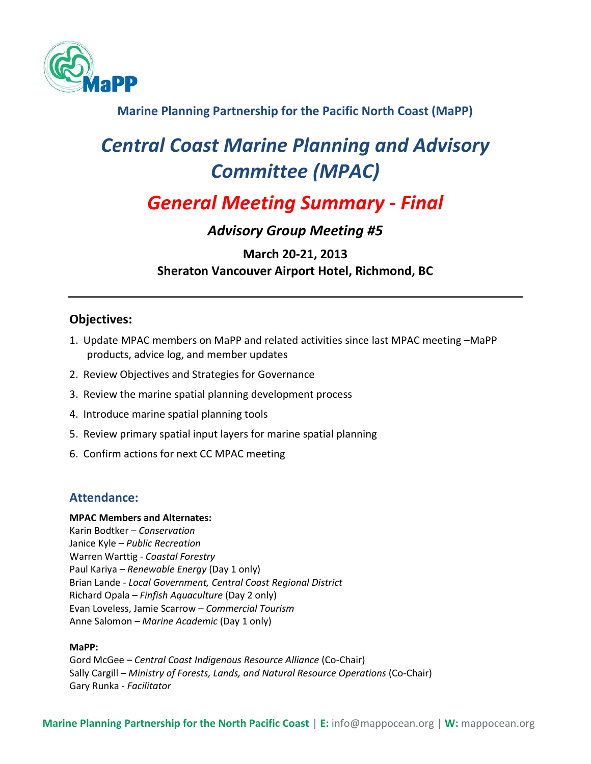

**Marine Planning Partnership for the Pacific North Coast (MaPP)**

# *Central Coast Marine Planning and Advisory Committee (MPAC)*

# *General Meeting Summary - Final*

# *Advisory Group Meeting #5*

# **March 20-21, 2013 Sheraton Vancouver Airport Hotel, Richmond, BC**

# **Objectives:**

- 1. Update MPAC members on MaPP and related activities since last MPAC meeting –MaPP products, advice log, and member updates
- 2. Review Objectives and Strategies for Governance
- 3. Review the marine spatial planning development process
- 4. Introduce marine spatial planning tools
- 5. Review primary spatial input layers for marine spatial planning
- 6. Confirm actions for next CC MPAC meeting

# **Attendance:**

## **MPAC Members and Alternates:**

Karin Bodtker – *Conservation* Janice Kyle – *Public Recreation* Warren Warttig - *Coastal Forestry* Paul Kariya – *Renewable Energy* (Day 1 only) Brian Lande - *Local Government, Central Coast Regional District* Richard Opala – *Finfish Aquaculture* (Day 2 only) Evan Loveless, Jamie Scarrow *– Commercial Tourism* Anne Salomon *– Marine Academic* (Day 1 only)

## **MaPP:**

Gord McGee – *Central Coast Indigenous Resource Alliance* (Co-Chair) Sally Cargill – *Ministry of Forests, Lands, and Natural Resource Operations* (Co-Chair) Gary Runka *- Facilitator*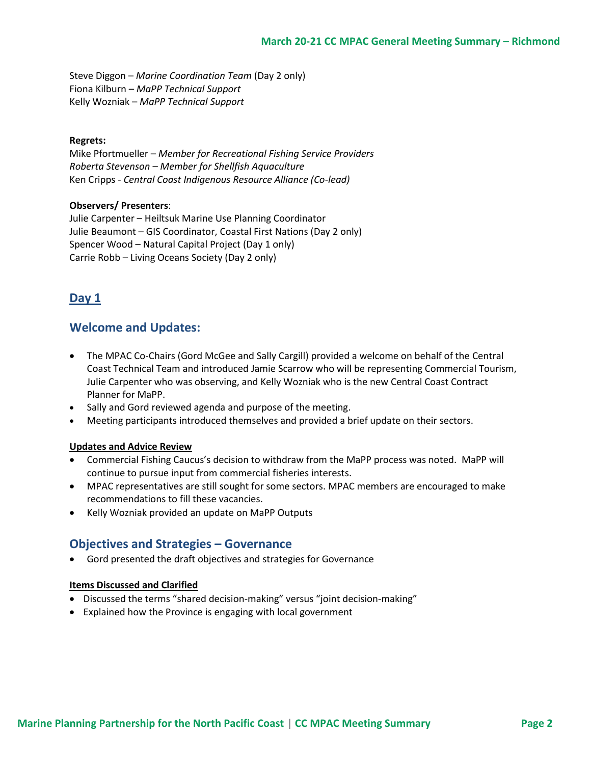Steve Diggon – *Marine Coordination Team* (Day 2 only) Fiona Kilburn – *MaPP Technical Support* Kelly Wozniak – *MaPP Technical Support*

#### **Regrets:**

Mike Pfortmueller – *Member for Recreational Fishing Service Providers Roberta Stevenson – Member for Shellfish Aquaculture* Ken Cripps - *Central Coast Indigenous Resource Alliance (Co-lead)*

#### **Observers/ Presenters**:

Julie Carpenter – Heiltsuk Marine Use Planning Coordinator Julie Beaumont – GIS Coordinator, Coastal First Nations (Day 2 only) Spencer Wood – Natural Capital Project (Day 1 only) Carrie Robb – Living Oceans Society (Day 2 only)

## **Day 1**

## **Welcome and Updates:**

- The MPAC Co-Chairs (Gord McGee and Sally Cargill) provided a welcome on behalf of the Central Coast Technical Team and introduced Jamie Scarrow who will be representing Commercial Tourism, Julie Carpenter who was observing, and Kelly Wozniak who is the new Central Coast Contract Planner for MaPP.
- Sally and Gord reviewed agenda and purpose of the meeting.
- Meeting participants introduced themselves and provided a brief update on their sectors.

#### **Updates and Advice Review**

- Commercial Fishing Caucus's decision to withdraw from the MaPP process was noted. MaPP will continue to pursue input from commercial fisheries interests.
- MPAC representatives are still sought for some sectors. MPAC members are encouraged to make recommendations to fill these vacancies.
- Kelly Wozniak provided an update on MaPP Outputs

## **Objectives and Strategies – Governance**

Gord presented the draft objectives and strategies for Governance

#### **Items Discussed and Clarified**

- Discussed the terms "shared decision-making" versus "joint decision-making"
- Explained how the Province is engaging with local government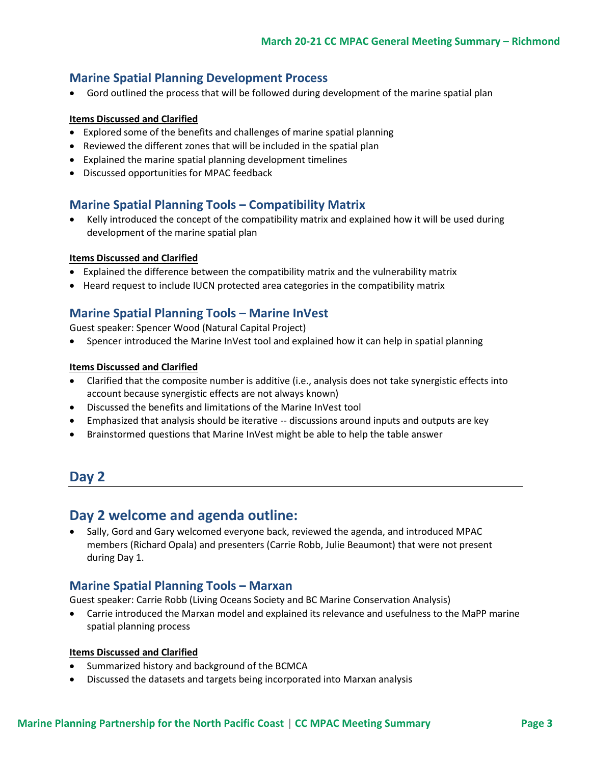### **Marine Spatial Planning Development Process**

Gord outlined the process that will be followed during development of the marine spatial plan

#### **Items Discussed and Clarified**

- Explored some of the benefits and challenges of marine spatial planning
- Reviewed the different zones that will be included in the spatial plan
- Explained the marine spatial planning development timelines
- Discussed opportunities for MPAC feedback

### **Marine Spatial Planning Tools – Compatibility Matrix**

 Kelly introduced the concept of the compatibility matrix and explained how it will be used during development of the marine spatial plan

#### **Items Discussed and Clarified**

- Explained the difference between the compatibility matrix and the vulnerability matrix
- Heard request to include IUCN protected area categories in the compatibility matrix

## **Marine Spatial Planning Tools – Marine InVest**

Guest speaker: Spencer Wood (Natural Capital Project)

Spencer introduced the Marine InVest tool and explained how it can help in spatial planning

#### **Items Discussed and Clarified**

- Clarified that the composite number is additive (i.e., analysis does not take synergistic effects into account because synergistic effects are not always known)
- Discussed the benefits and limitations of the Marine InVest tool
- Emphasized that analysis should be iterative -- discussions around inputs and outputs are key
- Brainstormed questions that Marine InVest might be able to help the table answer

# **Day 2**

## **Day 2 welcome and agenda outline:**

• Sally, Gord and Gary welcomed everyone back, reviewed the agenda, and introduced MPAC members (Richard Opala) and presenters (Carrie Robb, Julie Beaumont) that were not present during Day 1.

## **Marine Spatial Planning Tools – Marxan**

Guest speaker: Carrie Robb (Living Oceans Society and BC Marine Conservation Analysis)

 Carrie introduced the Marxan model and explained its relevance and usefulness to the MaPP marine spatial planning process

#### **Items Discussed and Clarified**

- Summarized history and background of the BCMCA
- Discussed the datasets and targets being incorporated into Marxan analysis